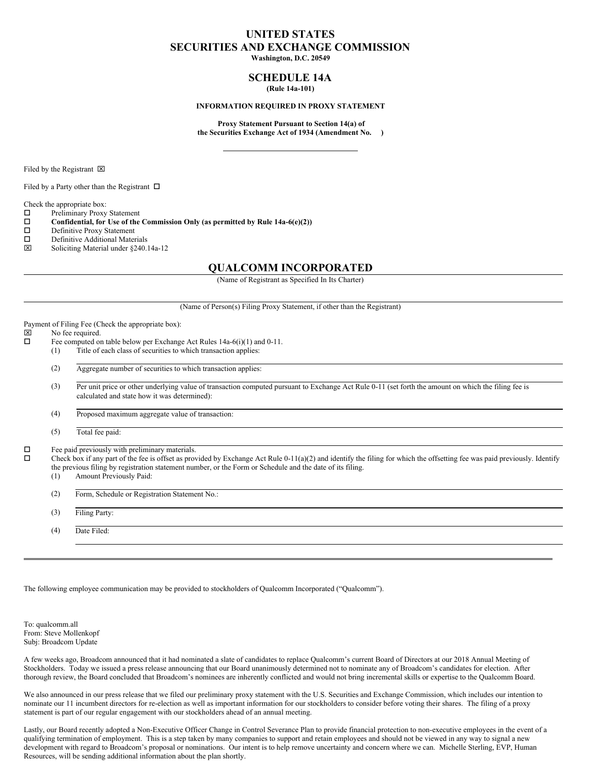## **UNITED STATES SECURITIES AND EXCHANGE COMMISSION**

**Washington, D.C. 20549**

## **SCHEDULE 14A (Rule 14a-101)**

#### **INFORMATION REQUIRED IN PROXY STATEMENT**

**Proxy Statement Pursuant to Section 14(a) of the Securities Exchange Act of 1934 (Amendment No. )**

Filed by the Registrant  $\boxtimes$ 

Filed by a Party other than the Registrant  $\Box$ 

Check the appropriate box:

 $\square$  Preliminary Proxy Statement<br> $\square$  Confidential, for Use of the

**Confidential, for** Use of the Commission Only (as permitted by Rule  $14a-6(e)(2)$ )<br>  $\Box$  Definitive Proxy Statement

- Definitive Proxy Statement
- $\square$  Definitive Additional Materials<br> $\square$  Soliciting Material under \$240
- x Soliciting Material under §240.14a-12

## **QUALCOMM INCORPORATED**

(Name of Registrant as Specified In Its Charter)

#### (Name of Person(s) Filing Proxy Statement, if other than the Registrant)

Payment of Filing Fee (Check the appropriate box):<br> $[ \times ]$  No fee required.

# $\boxtimes$  No fee required.<br> $\Box$  Fee computed on

- Fee computed on table below per Exchange Act Rules  $14a-6(i)(1)$  and  $0-11$ . (1) Title of each class of securities to which transaction applies:
	- (2) Aggregate number of securities to which transaction applies:

(3) Per unit price or other underlying value of transaction computed pursuant to Exchange Act Rule 0-11 (set forth the amount on which the filing fee is calculated and state how it was determined):

(4) Proposed maximum aggregate value of transaction:

(5) Total fee paid:

 $\Box$  Fee paid previously with preliminary materials.<br> $\Box$  Check hox if any part of the fee is offset as prov

o Check box if any part of the fee is offset as provided by Exchange Act Rule 0-11(a)(2) and identify the filing for which the offsetting fee was paid previously. Identify the previous filing by registration statement number, or the Form or Schedule and the date of its filing.

(1) Amount Previously Paid:

(2) Form, Schedule or Registration Statement No.:

(3) Filing Party:

(4) Date Filed:

The following employee communication may be provided to stockholders of Qualcomm Incorporated ("Qualcomm").

To: qualcomm.all From: Steve Mollenkopf Subj: Broadcom Update

A few weeks ago, Broadcom announced that it had nominated a slate of candidates to replace Qualcomm's current Board of Directors at our 2018 Annual Meeting of Stockholders. Today we issued a press release announcing that our Board unanimously determined not to nominate any of Broadcom's candidates for election. After thorough review, the Board concluded that Broadcom's nominees are inherently conflicted and would not bring incremental skills or expertise to the Qualcomm Board.

We also announced in our press release that we filed our preliminary proxy statement with the U.S. Securities and Exchange Commission, which includes our intention to nominate our 11 incumbent directors for re-election as well as important information for our stockholders to consider before voting their shares. The filing of a proxy statement is part of our regular engagement with our stockholders ahead of an annual meeting.

Lastly, our Board recently adopted a Non-Executive Officer Change in Control Severance Plan to provide financial protection to non-executive employees in the event of a qualifying termination of employment. This is a step taken by many companies to support and retain employees and should not be viewed in any way to signal a new development with regard to Broadcom's proposal or nominations. Our intent is to help remove uncertainty and concern where we can. Michelle Sterling, EVP, Human Resources, will be sending additional information about the plan shortly.